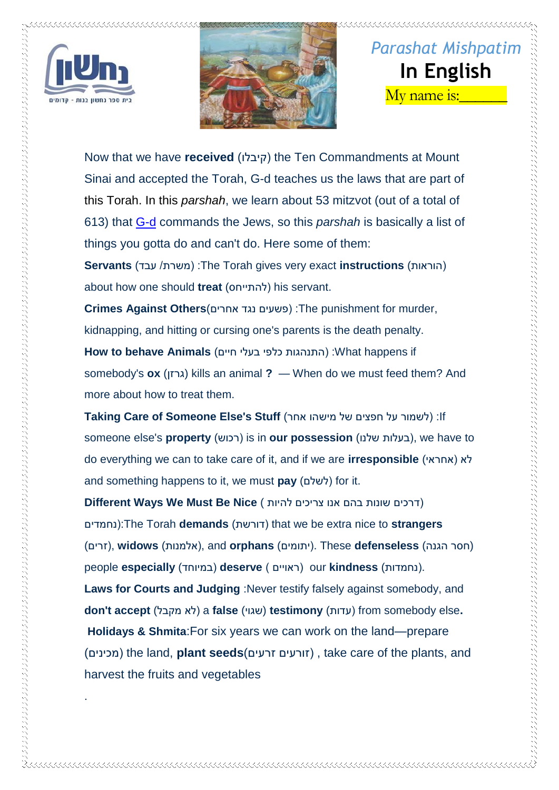





Now that we have **received** (קיבלו )the Ten Commandments at Mount Sinai and accepted the Torah, G-d teaches us the laws that are part of this [Torah.](https://www.chabad.org/library/article_cdo/aid/1426382/jewish/Torah.htm) In this *[parshah](https://www.chabad.org/parshah/default_cdo/aid/6232/jewish/Torah-Portion.htm)*, we learn about 53 mitzvot (out of a total of 613) that [G-d](https://www.chabad.org/library/article_cdo/aid/433240/jewish/God.htm) commands the Jews, so this *parshah* is basically a list of things you gotta do and can't do. Here some of them:

**Servants** (משרת/ עבד) :The Torah gives very exact **instructions** (הוראות) about how one should **treat** (להתייחס )his servant.

**Crimes Against Others**(אחרים נגד פשעים ):The punishment for murder, kidnapping, and hitting or cursing one's parents is the death penalty.

How to behave Animals (התנהגות כלפי בעלי חיים) :What happens if somebody's **ox** (גרזן (kills an animal **?** — When do we must feed them? And more about how to treat them.

**Taking Care of Someone Else's Stuff** (אחר מישהו של חפצים על לשמור ):If someone else's **property** (רכוש) is in **our possession** (בעלות שלנו), we have to do everything we can to take care of it, and if we are **irresponsible** (אחראי )לא and something happens to it, we must pay (לשלם) for it.

)דרכים שונות בהם אנו צריכים להיות ) **Nice Be Must We Ways Different** נחמדים):The Torah **demands** (דורשת )that we be extra nice to **strangers** (חסר הגנה) **defenseless** These .(יתומים) **orphans** and ,(אלמנות) **widows** ,(זרים) people **especially** (במיוחד )**deserve** ) ראויים )our **kindness** (נחמדות). **Laws for Courts and Judging**: Never testify falsely against somebody, and **don't accept** (מקבל לא )a **false** (שגוי (**testimony** (עדות )from somebody else**. Holidays & Shmita**:For six years we can work on the land—prepare (מכינים )the land, **plant seeds**(זרעים זורעים ), take care of the plants, and harvest the fruits and vegetables

.